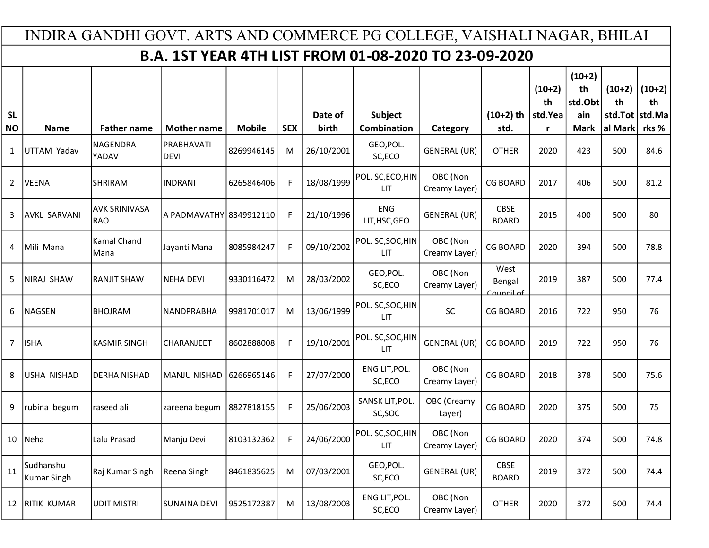|                        | INDIRA GANDHI GOVT. ARTS AND COMMERCE PG COLLEGE, VAISHALI NAGAR, BHILAI |                                    |                           |               |            |                  |                                                             |                           |                              |                                |                                                 |                                             |                         |  |
|------------------------|--------------------------------------------------------------------------|------------------------------------|---------------------------|---------------|------------|------------------|-------------------------------------------------------------|---------------------------|------------------------------|--------------------------------|-------------------------------------------------|---------------------------------------------|-------------------------|--|
|                        |                                                                          |                                    |                           |               |            |                  | <b>B.A. 1ST YEAR 4TH LIST FROM 01-08-2020 TO 23-09-2020</b> |                           |                              |                                |                                                 |                                             |                         |  |
| <b>SL</b><br><b>NO</b> | <b>Name</b>                                                              | <b>Father name</b>                 | <b>Mother name</b>        | <b>Mobile</b> | <b>SEX</b> | Date of<br>birth | Subject<br><b>Combination</b>                               | Category                  | $(10+2)$ th<br>std.          | $(10+2)$<br>th<br>std.Yea<br>r | $(10+2)$<br>th<br>std.Obt<br>ain<br><b>Mark</b> | $(10+2)$<br>th<br>std.Tot std.Ma<br>al Mark | $(10+2)$<br>th<br>rks % |  |
| 1                      | UTTAM Yadav                                                              | <b>NAGENDRA</b><br>YADAV           | PRABHAVATI<br><b>DEVI</b> | 8269946145    | M          | 26/10/2001       | GEO, POL.<br>SC,ECO                                         | <b>GENERAL (UR)</b>       | <b>OTHER</b>                 | 2020                           | 423                                             | 500                                         | 84.6                    |  |
| $\overline{2}$         | <b>VEENA</b>                                                             | <b>SHRIRAM</b>                     | <b>INDRANI</b>            | 6265846406    | F          | 18/08/1999       | POL. SC, ECO, HIN<br>LIT.                                   | OBC (Non<br>Creamy Layer) | <b>CG BOARD</b>              | 2017                           | 406                                             | 500                                         | 81.2                    |  |
| 3                      | <b>AVKL SARVANI</b>                                                      | <b>AVK SRINIVASA</b><br><b>RAO</b> | A PADMAVATHY 8349912110   |               | F          | 21/10/1996       | <b>ENG</b><br>LIT, HSC, GEO                                 | <b>GENERAL (UR)</b>       | <b>CBSE</b><br><b>BOARD</b>  | 2015                           | 400                                             | 500                                         | 80                      |  |
| 4                      | Mili Mana                                                                | Kamal Chand<br>Mana                | Jayanti Mana              | 8085984247    | F          | 09/10/2002       | POL. SC, SOC, HIN<br>LIT.                                   | OBC (Non<br>Creamy Layer) | <b>CG BOARD</b>              | 2020                           | 394                                             | 500                                         | 78.8                    |  |
| 5                      | <b>NIRAJ SHAW</b>                                                        | <b>RANJIT SHAW</b>                 | <b>NEHA DEVI</b>          | 9330116472    | м          | 28/03/2002       | GEO, POL.<br>SC,ECO                                         | OBC (Non<br>Creamy Layer) | West<br>Bengal<br>Council of | 2019                           | 387                                             | 500                                         | 77.4                    |  |
| 6                      | NAGSEN                                                                   | <b>BHOJRAM</b>                     | NANDPRABHA                | 9981701017    | М          | 13/06/1999       | POL. SC, SOC, HIN<br>LIT.                                   | <b>SC</b>                 | <b>CG BOARD</b>              | 2016                           | 722                                             | 950                                         | 76                      |  |
| 7                      | <b>ISHA</b>                                                              | <b>KASMIR SINGH</b>                | CHARANJEET                | 8602888008    | F          | 19/10/2001       | POL. SC, SOC, HIN<br>LIT.                                   | <b>GENERAL (UR)</b>       | <b>CG BOARD</b>              | 2019                           | 722                                             | 950                                         | 76                      |  |
| 8                      | <b>USHA NISHAD</b>                                                       | <b>DERHA NISHAD</b>                | <b>MANJU NISHAD</b>       | 6266965146    | F          | 27/07/2000       | ENG LIT, POL.<br>SC,ECO                                     | OBC (Non<br>Creamy Layer) | <b>CG BOARD</b>              | 2018                           | 378                                             | 500                                         | 75.6                    |  |
| 9                      | rubina begum                                                             | raseed ali                         | zareena begum             | 8827818155    | F          | 25/06/2003       | SANSK LIT, POL.<br>SC, SOC                                  | OBC (Creamy<br>Layer)     | <b>CG BOARD</b>              | 2020                           | 375                                             | 500                                         | 75                      |  |
| 10                     | Neha                                                                     | Lalu Prasad                        | Manju Devi                | 8103132362    | F          | 24/06/2000       | POL. SC, SOC, HIN<br><b>LIT</b>                             | OBC (Non<br>Creamy Layer) | <b>CG BOARD</b>              | 2020                           | 374                                             | 500                                         | 74.8                    |  |
| 11                     | Sudhanshu<br>Kumar Singh                                                 | Raj Kumar Singh                    | Reena Singh               | 8461835625    | M          | 07/03/2001       | GEO, POL.<br>SC,ECO                                         | GENERAL (UR)              | <b>CBSE</b><br><b>BOARD</b>  | 2019                           | 372                                             | 500                                         | 74.4                    |  |
| 12                     | <b>RITIK KUMAR</b>                                                       | <b>UDIT MISTRI</b>                 | SUNAINA DEVI              | 9525172387    | M          | 13/08/2003       | ENG LIT, POL.<br>SC,ECO                                     | OBC (Non<br>Creamy Layer) | <b>OTHER</b>                 | 2020                           | 372                                             | 500                                         | 74.4                    |  |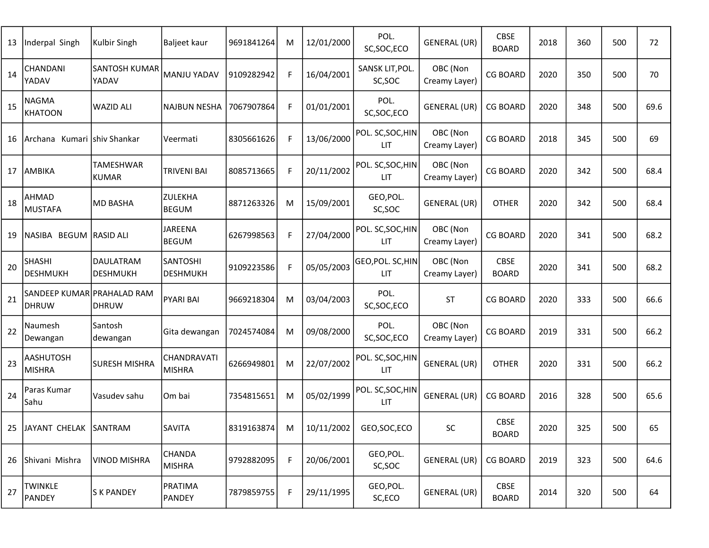| 13 | Inderpal Singh                             | Kulbir Singh                        | Baljeet kaur                       | 9691841264 | М  | 12/01/2000 | POL.<br>SC, SOC, ECO            | GENERAL (UR)              | <b>CBSE</b><br><b>BOARD</b> | 2018 | 360 | 500 | 72   |
|----|--------------------------------------------|-------------------------------------|------------------------------------|------------|----|------------|---------------------------------|---------------------------|-----------------------------|------|-----|-----|------|
| 14 | CHANDANI<br>YADAV                          | <b>SANTOSH KUMAR</b><br>YADAV       | <b>MANJU YADAV</b>                 | 9109282942 | F  | 16/04/2001 | SANSK LIT, POL.<br>SC,SOC       | OBC (Non<br>Creamy Layer) | <b>CG BOARD</b>             | 2020 | 350 | 500 | 70   |
| 15 | <b>NAGMA</b><br><b>KHATOON</b>             | <b>WAZID ALI</b>                    | <b>NAJBUN NESHA</b>                | 7067907864 | F. | 01/01/2001 | POL.<br>SC, SOC, ECO            | GENERAL (UR)              | <b>CG BOARD</b>             | 2020 | 348 | 500 | 69.6 |
| 16 | lArchana Kumari Ishiv Shankar              |                                     | Veermati                           | 8305661626 | F  | 13/06/2000 | POL. SC, SOC, HIN<br><b>LIT</b> | OBC (Non<br>Creamy Layer) | <b>CG BOARD</b>             | 2018 | 345 | 500 | 69   |
| 17 | AMBIKA                                     | TAMESHWAR<br><b>KUMAR</b>           | TRIVENI BAI                        | 8085713665 | F  | 20/11/2002 | POL. SC, SOC, HIN<br><b>LIT</b> | OBC (Non<br>Creamy Layer) | <b>CG BOARD</b>             | 2020 | 342 | 500 | 68.4 |
| 18 | AHMAD<br><b>MUSTAFA</b>                    | <b>MD BASHA</b>                     | ZULEKHA<br><b>BEGUM</b>            | 8871263326 | M  | 15/09/2001 | GEO, POL.<br>SC, SOC            | GENERAL (UR)              | <b>OTHER</b>                | 2020 | 342 | 500 | 68.4 |
| 19 | NASIBA BEGUM RASID ALI                     |                                     | <b>JAREENA</b><br><b>BEGUM</b>     | 6267998563 | F. | 27/04/2000 | POL. SC, SOC, HIN<br><b>LIT</b> | OBC (Non<br>Creamy Layer) | <b>CG BOARD</b>             | 2020 | 341 | 500 | 68.2 |
| 20 | <b>SHASHI</b><br><b>DESHMUKH</b>           | <b>DAULATRAM</b><br><b>DESHMUKH</b> | <b>SANTOSHI</b><br><b>DESHMUKH</b> | 9109223586 | F  | 05/05/2003 | GEO, POL. SC, HIN<br><b>LIT</b> | OBC (Non<br>Creamy Layer) | <b>CBSE</b><br><b>BOARD</b> | 2020 | 341 | 500 | 68.2 |
| 21 | SANDEEP KUMAR PRAHALAD RAM<br><b>DHRUW</b> | <b>DHRUW</b>                        | <b>PYARI BAI</b>                   | 9669218304 | M  | 03/04/2003 | POL.<br>SC, SOC, ECO            | <b>ST</b>                 | <b>CG BOARD</b>             | 2020 | 333 | 500 | 66.6 |
| 22 | Naumesh<br>Dewangan                        | Santosh<br>dewangan                 | Gita dewangan                      | 7024574084 | M  | 09/08/2000 | POL.<br>SC, SOC, ECO            | OBC (Non<br>Creamy Layer) | <b>CG BOARD</b>             | 2019 | 331 | 500 | 66.2 |
| 23 | <b>AASHUTOSH</b><br><b>MISHRA</b>          | <b>SURESH MISHRA</b>                | CHANDRAVATI<br><b>MISHRA</b>       | 6266949801 | M  | 22/07/2002 | POL. SC, SOC, HIN<br><b>LIT</b> | GENERAL (UR)              | <b>OTHER</b>                | 2020 | 331 | 500 | 66.2 |
| 24 | Paras Kumar<br>Sahu                        | Vasudev sahu                        | Om bai                             | 7354815651 | M  | 05/02/1999 | POL. SC, SOC, HIN<br><b>LIT</b> | GENERAL (UR)              | <b>CG BOARD</b>             | 2016 | 328 | 500 | 65.6 |
| 25 | JAYANT CHELAK SANTRAM                      |                                     | <b>SAVITA</b>                      | 8319163874 | M  | 10/11/2002 | GEO, SOC, ECO                   | SC                        | <b>CBSE</b><br><b>BOARD</b> | 2020 | 325 | 500 | 65   |
| 26 | Shivani Mishra                             | <b>VINOD MISHRA</b>                 | <b>CHANDA</b><br><b>MISHRA</b>     | 9792882095 | F. | 20/06/2001 | GEO, POL.<br>SC, SOC            | GENERAL (UR)              | <b>CG BOARD</b>             | 2019 | 323 | 500 | 64.6 |
| 27 | <b>TWINKLE</b><br><b>PANDEY</b>            | <b>SK PANDEY</b>                    | PRATIMA<br><b>PANDEY</b>           | 7879859755 | F  | 29/11/1995 | GEO, POL.<br>SC,ECO             | GENERAL (UR)              | <b>CBSE</b><br><b>BOARD</b> | 2014 | 320 | 500 | 64   |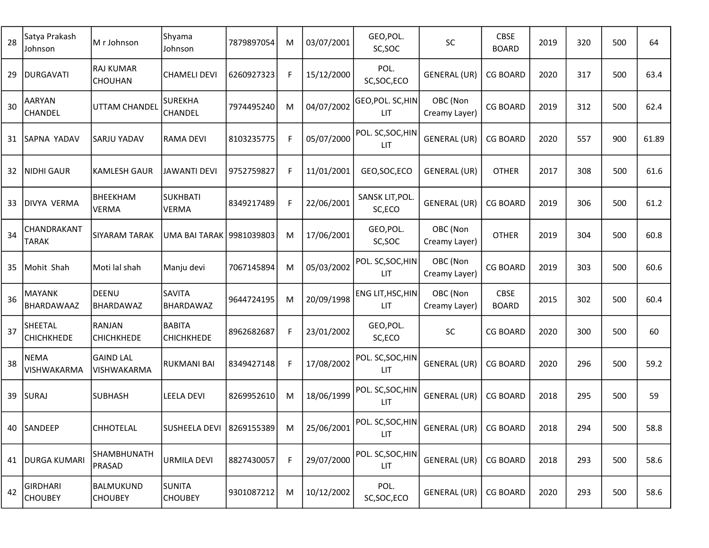| 28 | Satya Prakash<br>Johnson          | M r Johnson                     | Shyama<br>Johnson               | 7879897054 | M | 03/07/2001 | GEO, POL.<br>SC, SOC            | SC                        | <b>CBSE</b><br><b>BOARD</b> | 2019 | 320 | 500 | 64    |
|----|-----------------------------------|---------------------------------|---------------------------------|------------|---|------------|---------------------------------|---------------------------|-----------------------------|------|-----|-----|-------|
| 29 | <b>DURGAVATI</b>                  | <b>RAJ KUMAR</b><br>CHOUHAN     | <b>CHAMELI DEVI</b>             | 6260927323 | F | 15/12/2000 | POL.<br>SC, SOC, ECO            | <b>GENERAL (UR)</b>       | <b>CG BOARD</b>             | 2020 | 317 | 500 | 63.4  |
| 30 | AARYAN<br><b>CHANDEL</b>          | UTTAM CHANDEL                   | <b>SUREKHA</b><br>CHANDEL       | 7974495240 | M | 04/07/2002 | GEO, POL. SC, HIN<br><b>LIT</b> | OBC (Non<br>Creamy Layer) | <b>CG BOARD</b>             | 2019 | 312 | 500 | 62.4  |
| 31 | <b>SAPNA YADAV</b>                | SARJU YADAV                     | <b>RAMA DEVI</b>                | 8103235775 | F | 05/07/2000 | POL. SC, SOC, HIN<br><b>LIT</b> | <b>GENERAL (UR)</b>       | <b>CG BOARD</b>             | 2020 | 557 | 900 | 61.89 |
| 32 | <b>NIDHI GAUR</b>                 | <b>KAMLESH GAUR</b>             | <b>JAWANTI DEVI</b>             | 9752759827 | F | 11/01/2001 | GEO, SOC, ECO                   | <b>GENERAL (UR)</b>       | <b>OTHER</b>                | 2017 | 308 | 500 | 61.6  |
| 33 | DIVYA VERMA                       | BHEEKHAM<br><b>VERMA</b>        | <b>SUKHBATI</b><br>VERMA        | 8349217489 | F | 22/06/2001 | SANSK LIT, POL.<br>SC,ECO       | GENERAL (UR)              | <b>CG BOARD</b>             | 2019 | 306 | 500 | 61.2  |
| 34 | CHANDRAKANT<br>TARAK              | SIYARAM TARAK                   | UMA BAI TARAK   9981039803      |            | M | 17/06/2001 | GEO, POL.<br>SC, SOC            | OBC (Non<br>Creamy Layer) | <b>OTHER</b>                | 2019 | 304 | 500 | 60.8  |
| 35 | Mohit Shah                        | Moti lal shah                   | Manju devi                      | 7067145894 | M | 05/03/2002 | POL. SC, SOC, HIN<br><b>LIT</b> | OBC (Non<br>Creamy Layer) | <b>CG BOARD</b>             | 2019 | 303 | 500 | 60.6  |
| 36 | <b>MAYANK</b><br>BHARDAWAAZ       | DEENU<br>BHARDAWAZ              | <b>SAVITA</b><br>BHARDAWAZ      | 9644724195 | M | 20/09/1998 | ENG LIT, HSC, HIN<br><b>LIT</b> | OBC (Non<br>Creamy Layer) | <b>CBSE</b><br><b>BOARD</b> | 2015 | 302 | 500 | 60.4  |
| 37 | SHEETAL<br>CHICHKHEDE             | RANJAN<br><b>CHICHKHEDE</b>     | <b>BABITA</b><br>CHICHKHEDE     | 8962682687 | F | 23/01/2002 | GEO, POL.<br>SC,ECO             | <b>SC</b>                 | <b>CG BOARD</b>             | 2020 | 300 | 500 | 60    |
| 38 | <b>NEMA</b><br>VISHWAKARMA        | <b>GAIND LAL</b><br>VISHWAKARMA | <b>RUKMANI BAI</b>              | 8349427148 | F | 17/08/2002 | POL. SC, SOC, HIN<br><b>LIT</b> | GENERAL (UR)              | <b>CG BOARD</b>             | 2020 | 296 | 500 | 59.2  |
| 39 | <b>SURAJ</b>                      | <b>SUBHASH</b>                  | <b>LEELA DEVI</b>               | 8269952610 | M | 18/06/1999 | POL. SC, SOC, HIN<br>LIT        | GENERAL (UR)              | <b>CG BOARD</b>             | 2018 | 295 | 500 | 59    |
|    | 40 SANDEEP                        | CHHOTELAL                       | SUSHEELA DEVI   8269155389      |            | M | 25/06/2001 | POL. SC, SOC, HIN<br>LIT        | GENERAL (UR)              | CG BOARD                    | 2018 | 294 | 500 | 58.8  |
| 41 | <b>DURGA KUMARI</b>               | SHAMBHUNATH<br>PRASAD           | URMILA DEVI                     | 8827430057 | F | 29/07/2000 | POL. SC, SOC, HIN<br><b>LIT</b> | <b>GENERAL (UR)</b>       | <b>CG BOARD</b>             | 2018 | 293 | 500 | 58.6  |
| 42 | <b>GIRDHARI</b><br><b>CHOUBEY</b> | BALMUKUND<br><b>CHOUBEY</b>     | <b>SUNITA</b><br><b>CHOUBEY</b> | 9301087212 | M | 10/12/2002 | POL.<br>SC, SOC, ECO            | <b>GENERAL (UR)</b>       | <b>CG BOARD</b>             | 2020 | 293 | 500 | 58.6  |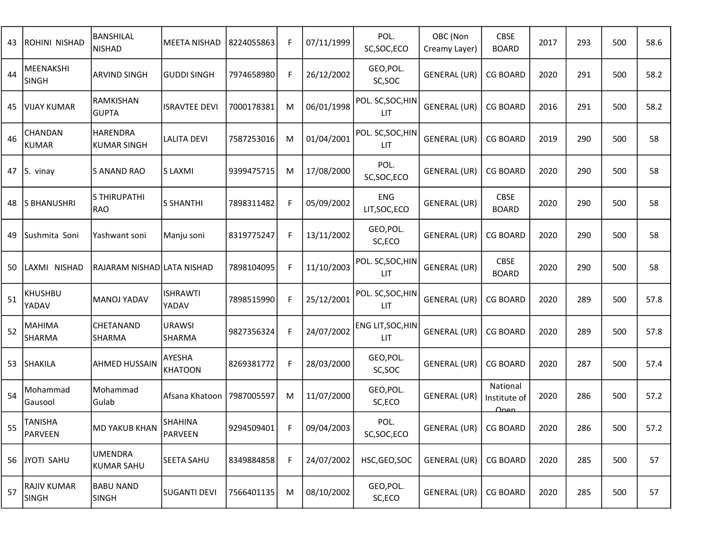| 43 | ROHINI NISHAD                                                                         | BANSHILAL<br><b>NISHAD</b>            | MEETA NISHAD              | 8224055863 | F  | 07/11/1999 | POL.<br>SC, SOC, ECO            | OBC (Non<br>Creamy Layer) | <b>CBSE</b><br><b>BOARD</b>      | 2017 | 293 | 500 | 58.6 |
|----|---------------------------------------------------------------------------------------|---------------------------------------|---------------------------|------------|----|------------|---------------------------------|---------------------------|----------------------------------|------|-----|-----|------|
| 44 | MEENAKSHI<br><b>SINGH</b>                                                             | <b>ARVIND SINGH</b>                   | <b>GUDDI SINGH</b>        | 7974658980 | F. | 26/12/2002 | GEO, POL.<br>SC, SOC            | GENERAL (UR)              | <b>CG BOARD</b>                  | 2020 | 291 | 500 | 58.2 |
| 45 | <b>VIJAY KUMAR</b>                                                                    | RAMKISHAN<br><b>GUPTA</b>             | <b>ISRAVTEE DEVI</b>      | 7000178381 | M  | 06/01/1998 | POL. SC, SOC, HIN<br><b>LIT</b> | GENERAL (UR)              | <b>CG BOARD</b>                  | 2016 | 291 | 500 | 58.2 |
| 46 | CHANDAN<br><b>KUMAR</b>                                                               | <b>HARENDRA</b><br><b>KUMAR SINGH</b> | LALITA DEVI               | 7587253016 | M  | 01/04/2001 | POL. SC, SOC, HIN<br>LIT.       | GENERAL (UR)              | <b>CG BOARD</b>                  | 2019 | 290 | 500 | 58   |
| 47 | S. vinay                                                                              | S ANAND RAO                           | S LAXMI                   | 9399475715 | M  | 17/08/2000 | POL.<br>SC, SOC, ECO            | GENERAL (UR)              | <b>CG BOARD</b>                  | 2020 | 290 | 500 | 58   |
| 48 | <b>S BHANUSHRI</b>                                                                    | S THIRUPATHI<br><b>RAO</b>            | <b>S SHANTHI</b>          | 7898311482 | F  | 05/09/2002 | ENG<br>LIT, SOC, ECO            | <b>GENERAL (UR)</b>       | <b>CBSE</b><br><b>BOARD</b>      | 2020 | 290 | 500 | 58   |
| 49 | Sushmita Soni                                                                         | Yashwant soni                         | Manju soni                | 8319775247 | F. | 13/11/2002 | GEO, POL.<br>SC,ECO             | GENERAL (UR)              | <b>CG BOARD</b>                  | 2020 | 290 | 500 | 58   |
| 50 | LAXMI NISHAD                                                                          | RAJARAM NISHAD LATA NISHAD            |                           | 7898104095 | F  | 11/10/2003 | POL. SC, SOC, HIN<br><b>LIT</b> | <b>GENERAL (UR)</b>       | <b>CBSE</b><br><b>BOARD</b>      | 2020 | 290 | 500 | 58   |
| 51 | <b>KHUSHBU</b><br>YADAV                                                               | MANOJ YADAV                           | <b>ISHRAWTI</b><br>YADAV  | 7898515990 | F  | 25/12/2001 | POL. SC, SOC, HIN<br><b>LIT</b> | GENERAL (UR)              | <b>CG BOARD</b>                  | 2020 | 289 | 500 | 57.8 |
| 52 | <b>MAHIMA</b><br>SHARMA                                                               | CHETANAND<br>SHARMA                   | <b>URAWSI</b><br>SHARMA   | 9827356324 | F  | 24/07/2002 | ENG LIT, SOC, HIN<br><b>LIT</b> | GENERAL (UR)              | <b>CG BOARD</b>                  | 2020 | 289 | 500 | 57.8 |
| 53 | <b>SHAKILA</b>                                                                        | <b>AHMED HUSSAIN</b>                  | AYESHA<br><b>KHATOON</b>  | 8269381772 | F. | 28/03/2000 | GEO, POL.<br>SC, SOC            | GENERAL (UR)              | <b>CG BOARD</b>                  | 2020 | 287 | 500 | 57.4 |
| 54 | Mohammad<br>Gausool                                                                   | Mohammad<br>Gulab                     | Afsana Khatoon            | 7987005597 | M  | 11/07/2000 | GEO, POL.<br>SC,ECO             | GENERAL (UR)              | National<br>Institute of<br>Onen | 2020 | 286 | 500 | 57.2 |
|    | $55\left  \begin{array}{c} \text{TANISHA} \\ \text{2} \end{array} \right $<br>PARVEEN | <b>MD YAKUB KHAN</b>                  | <b>SHAHINA</b><br>PARVEEN | 9294509401 |    | 09/04/2003 | POL.<br>SC, SOC, ECO            | GENERAL (UR)              | <b>CG BOARD</b>                  | 2020 | 286 | 500 | 57.2 |
| 56 | JYOTI SAHU                                                                            | <b>UMENDRA</b><br><b>KUMAR SAHU</b>   | <b>SEETA SAHU</b>         | 8349884858 | F. | 24/07/2002 | HSC, GEO, SOC                   | GENERAL (UR)              | <b>CG BOARD</b>                  | 2020 | 285 | 500 | 57   |
| 57 | <b>RAJIV KUMAR</b><br>SINGH                                                           | <b>BABU NAND</b><br><b>SINGH</b>      | <b>SUGANTI DEVI</b>       | 7566401135 | M  | 08/10/2002 | GEO, POL.<br>SC,ECO             | GENERAL (UR)              | <b>CG BOARD</b>                  | 2020 | 285 | 500 | 57   |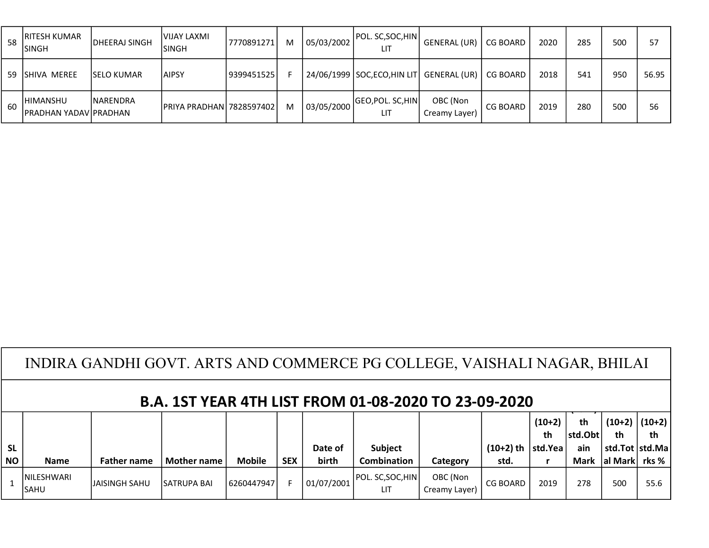|    | <b>RITESH KUMAR</b><br><b>SINGH</b>               | <b>IDHEERAJ SINGH</b> | <b>VIJAY LAXMI</b><br><b>ISINGH</b> | 7770891271 | M | 05/03/2002 | POL. SC, SOC, HIN<br>LIT                      | GENERAL (UR)              | <b>CG BOARD</b> | 2020 | 285 | <b>500</b> | 57    |
|----|---------------------------------------------------|-----------------------|-------------------------------------|------------|---|------------|-----------------------------------------------|---------------------------|-----------------|------|-----|------------|-------|
| 59 | ISHIVA MEREE                                      | <b>ISELO KUMAR</b>    | IAIPSY                              | 9399451525 |   |            | 24/06/1999   SOC, ECO, HIN LIT   GENERAL (UR) |                           | CG BOARD        | 2018 | 541 | 950        | 56.95 |
| 60 | <b>IHIMANSHU</b><br><b>IPRADHAN YADAVIPRADHAN</b> | <b>INARENDRA</b>      | <b>IPRIYA PRADHAN 7828597402</b>    |            | м | 03/05/2000 | <b>GEO, POL. SC, HIN</b><br>LIT               | OBC (Non<br>Creamy Layer) | <b>CG BOARD</b> | 2019 | 280 | 50C        | 56    |

| INDIRA GANDHI GOVT. ARTS AND COMMERCE PG COLLEGE, VAISHALI NAGAR, BHILAI |  |
|--------------------------------------------------------------------------|--|
|                                                                          |  |

|           |                             |                    | ------             |               |            |            |                         |                           | -----                |          |         |                           |                   |
|-----------|-----------------------------|--------------------|--------------------|---------------|------------|------------|-------------------------|---------------------------|----------------------|----------|---------|---------------------------|-------------------|
|           |                             |                    |                    |               |            |            |                         |                           |                      | $(10+2)$ | th      |                           | $(10+2)$ $(10+2)$ |
|           |                             |                    |                    |               |            |            |                         |                           |                      | th       | std.Obt | th                        | th                |
| <b>SL</b> |                             |                    |                    |               |            | Date of    | <b>Subject</b>          |                           | $(10+2)$ th  std.Yea |          | ain     | std.Tot  std.Ma           |                   |
| <b>NO</b> | <b>Name</b>                 | <b>Father name</b> | <b>Mother name</b> | <b>Mobile</b> | <b>SEX</b> | birth      | <b>Combination</b>      | Category                  | std.                 |          | Mark    | $ $ al Mark $ $ rks % $ $ |                   |
|           | <b>INILESHWARI</b><br>ISAHU | IJAISINGH SAHU     | <b>SATRUPA BAL</b> | 6260447947    |            | 01/07/2001 | POL. SC,SOC,HIN <br>LIT | OBC (Non<br>Creamy Layer) | <b>CG BOARD</b>      | 2019     | 278     | 500                       | 55.6              |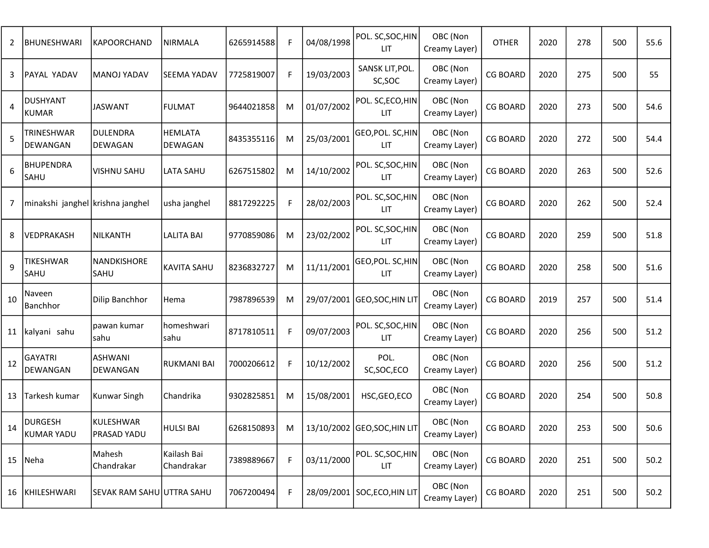| 2  | <b>BHUNESHWARI</b>               | KAPOORCHAND                     | <b>NIRMALA</b>            | 6265914588 | F | 04/08/1998 | POL. SC, SOC, HIN<br><b>LIT</b> | OBC (Non<br>Creamy Layer) | <b>OTHER</b>    | 2020 | 278 | 500 | 55.6 |
|----|----------------------------------|---------------------------------|---------------------------|------------|---|------------|---------------------------------|---------------------------|-----------------|------|-----|-----|------|
| 3  | PAYAL YADAV                      | <b>MANOJ YADAV</b>              | <b>SEEMA YADAV</b>        | 7725819007 | F | 19/03/2003 | SANSK LIT, POL.<br>SC,SOC       | OBC (Non<br>Creamy Layer) | <b>CG BOARD</b> | 2020 | 275 | 500 | 55   |
| 4  | <b>DUSHYANT</b><br><b>KUMAR</b>  | <b>JASWANT</b>                  | <b>FULMAT</b>             | 9644021858 | M | 01/07/2002 | POL. SC, ECO, HIN<br><b>LIT</b> | OBC (Non<br>Creamy Layer) | <b>CG BOARD</b> | 2020 | 273 | 500 | 54.6 |
| 5  | TRINESHWAR<br>DEWANGAN           | <b>DULENDRA</b><br>DEWAGAN      | <b>HEMLATA</b><br>DEWAGAN | 8435355116 | M | 25/03/2001 | GEO, POL. SC, HIN<br>LIT        | OBC (Non<br>Creamy Layer) | <b>CG BOARD</b> | 2020 | 272 | 500 | 54.4 |
| 6  | <b>BHUPENDRA</b><br>SAHU         | <b>VISHNU SAHU</b>              | LATA SAHU                 | 6267515802 | M | 14/10/2002 | POL. SC, SOC, HIN<br><b>LIT</b> | OBC (Non<br>Creamy Layer) | <b>CG BOARD</b> | 2020 | 263 | 500 | 52.6 |
| 7  | minakshi janghel krishna janghel |                                 | usha janghel              | 8817292225 | F | 28/02/2003 | POL. SC, SOC, HIN<br><b>LIT</b> | OBC (Non<br>Creamy Layer) | <b>CG BOARD</b> | 2020 | 262 | 500 | 52.4 |
| 8  | VEDPRAKASH                       | <b>NILKANTH</b>                 | LALITA BAI                | 9770859086 | M | 23/02/2002 | POL. SC, SOC, HIN<br><b>LIT</b> | OBC (Non<br>Creamy Layer) | <b>CG BOARD</b> | 2020 | 259 | 500 | 51.8 |
| 9  | TIKESHWAR<br>SAHU                | NANDKISHORE<br>SAHU             | <b>KAVITA SAHU</b>        | 8236832727 | M | 11/11/2001 | GEO, POL. SC, HIN<br><b>LIT</b> | OBC (Non<br>Creamy Layer) | <b>CG BOARD</b> | 2020 | 258 | 500 | 51.6 |
| 10 | Naveen<br>Banchhor               | Dilip Banchhor                  | Hema                      | 7987896539 | M | 29/07/2001 | GEO,SOC,HIN LIT                 | OBC (Non<br>Creamy Layer) | <b>CG BOARD</b> | 2019 | 257 | 500 | 51.4 |
| 11 | kalyani sahu                     | pawan kumar<br><b>Isahu</b>     | homeshwari<br>sahu        | 8717810511 | F | 09/07/2003 | POL. SC, SOC, HIN<br><b>LIT</b> | OBC (Non<br>Creamy Layer) | <b>CG BOARD</b> | 2020 | 256 | 500 | 51.2 |
| 12 | <b>GAYATRI</b><br>DEWANGAN       | <b>ASHWANI</b><br>DEWANGAN      | <b>RUKMANI BAI</b>        | 7000206612 | F | 10/12/2002 | POL.<br>SC, SOC, ECO            | OBC (Non<br>Creamy Layer) | <b>CG BOARD</b> | 2020 | 256 | 500 | 51.2 |
| 13 | Tarkesh kumar                    | Kunwar Singh                    | Chandrika                 | 9302825851 | M | 15/08/2001 | HSC, GEO, ECO                   | OBC (Non<br>Creamy Layer) | <b>CG BOARD</b> | 2020 | 254 | 500 | 50.8 |
| 14 | <b>DURGESH</b><br>KUMAR YADU     | <b>KULESHWAR</b><br>PRASAD YADU | <b>HULSI BAI</b>          | 6268150893 | M |            | 13/10/2002 GEO, SOC, HIN LIT    | OBC (Non<br>Creamy Layer) | CG BOARD        | 2020 | 253 | 500 | 50.6 |
|    | 15 Neha                          | Mahesh<br>Chandrakar            | Kailash Bai<br>Chandrakar | 7389889667 | F | 03/11/2000 | POL. SC, SOC, HIN<br>LIT.       | OBC (Non<br>Creamy Layer) | <b>CG BOARD</b> | 2020 | 251 | 500 | 50.2 |
|    | 16 KHILESHWARI                   | SEVAK RAM SAHU UTTRA SAHU       |                           | 7067200494 | F | 28/09/2001 | SOC, ECO, HIN LIT               | OBC (Non<br>Creamy Layer) | <b>CG BOARD</b> | 2020 | 251 | 500 | 50.2 |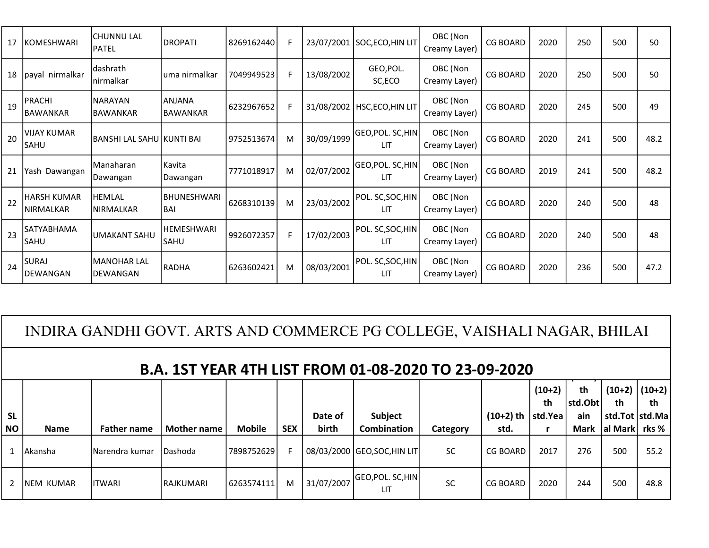| 17 | KOMESHWARI                       | <b>CHUNNU LAL</b><br><b>IPATEL</b>   | <b>DROPATI</b>                   | 8269162440 | F. | 23/07/2001 | SOC, ECO, HIN LIT               | OBC (Non<br>Creamy Layer) | <b>CG BOARD</b> | 2020 | 250 | 500 | 50   |
|----|----------------------------------|--------------------------------------|----------------------------------|------------|----|------------|---------------------------------|---------------------------|-----------------|------|-----|-----|------|
| 18 | payal nirmalkar                  | <b>dashrath</b><br><b>Inirmalkar</b> | luma nirmalkar                   | 7049949523 | F. | 13/08/2002 | GEO, POL.<br>SC,ECO             | OBC (Non<br>Creamy Layer) | <b>CG BOARD</b> | 2020 | 250 | 500 | 50   |
| 19 | PRACHI<br><b>BAWANKAR</b>        | <b>NARAYAN</b><br><b>BAWANKAR</b>    | <b>ANJANA</b><br><b>BAWANKAR</b> | 6232967652 | F  |            | 31/08/2002   HSC, ECO, HIN LIT  | OBC (Non<br>Creamy Layer) | <b>CG BOARD</b> | 2020 | 245 | 500 | 49   |
| 20 | <b>VIJAY KUMAR</b><br>SAHU       | BANSHI LAL SAHU KUNTI BAI            |                                  | 9752513674 | м  | 30/09/1999 | GEO, POL. SC, HIN<br><b>LIT</b> | OBC (Non<br>Creamy Layer) | <b>CG BOARD</b> | 2020 | 241 | 500 | 48.2 |
| 21 | Yash Dawangan                    | l Manaharan<br><b>IDawangan</b>      | Kavita<br>Dawangan               | 7771018917 | м  | 02/07/2002 | GEO,POL. SC,HIN <br>11T         | OBC (Non<br>Creamy Layer) | <b>CG BOARD</b> | 2019 | 241 | 500 | 48.2 |
| 22 | HARSH KUMAR<br><b>INIRMALKAR</b> | IHEMLAL<br>INIRMALKAR                | <b>BHUNESHWARI</b><br>lBAI       | 6268310139 | м  | 23/03/2002 | POL. SC, SOC, HIN<br>LIT.       | OBC (Non<br>Creamy Layer) | <b>CG BOARD</b> | 2020 | 240 | 500 | 48   |
| 23 | SATYABHAMA<br>SAHU               | UMAKANT SAHU                         | <b>HEMESHWARI</b><br>lsahu       | 9926072357 | F  | 17/02/2003 | POL. SC, SOC, HIN<br>LIT.       | OBC (Non<br>Creamy Layer) | <b>CG BOARD</b> | 2020 | 240 | 500 | 48   |
| 24 | SURAJ<br>DEWANGAN                | <b>MANOHAR LAL</b><br>IDEWANGAN      | <b>RADHA</b>                     | 6263602421 | м  | 08/03/2001 | POL. SC, SOC, HIN<br>LIT        | OBC (Non<br>Creamy Layer) | <b>CG BOARD</b> | 2020 | 236 | 500 | 47.2 |

INDIRA GANDHI GOVT. ARTS AND COMMERCE PG COLLEGE, VAISHALI NAGAR, BHILAI

## B.A. 1ST YEAR 4TH LIST FROM 01-08-2020 TO 23-09-2020

|           | PH \} 19     E/\ \ T     E 9      \9 V  V1 UU EVEV   V EJ VJ EVEV |                    |                    |               |            |            |                              |           |             |          |             |                  |                   |  |
|-----------|-------------------------------------------------------------------|--------------------|--------------------|---------------|------------|------------|------------------------------|-----------|-------------|----------|-------------|------------------|-------------------|--|
|           |                                                                   |                    |                    |               |            |            |                              |           |             | $(10+2)$ | th          |                  | $(10+2)$ $(10+2)$ |  |
|           |                                                                   |                    |                    |               |            |            |                              |           |             | th       | std.Obt     | th               | th                |  |
| <b>SL</b> |                                                                   |                    |                    |               |            | Date of    | Subject                      |           | $(10+2)$ th | std.Yea  | ain         | std.Tot   std.Ma |                   |  |
| <b>NO</b> | <b>Name</b>                                                       | <b>Father name</b> | <b>Mother name</b> | <b>Mobile</b> | <b>SEX</b> | birth      | Combination                  | Category  | std.        |          | <b>Mark</b> | al Mark rks %    |                   |  |
|           | Akansha                                                           | Narendra kumar     | Dashoda            | 7898752629    |            |            | 08/03/2000 GEO, SOC, HIN LIT | <b>SC</b> | CG BOARD    | 2017     | 276         | 500              | 55.2              |  |
|           | INEM KUMAR                                                        | <b>IITWARI</b>     | <b>IRAJKUMARI</b>  | 6263574111    | M          | 31/07/2007 | GEO,POL. SC,HIN <br>ШT       | SC        | CG BOARD    | 2020     | 244         | 500              | 48.8              |  |